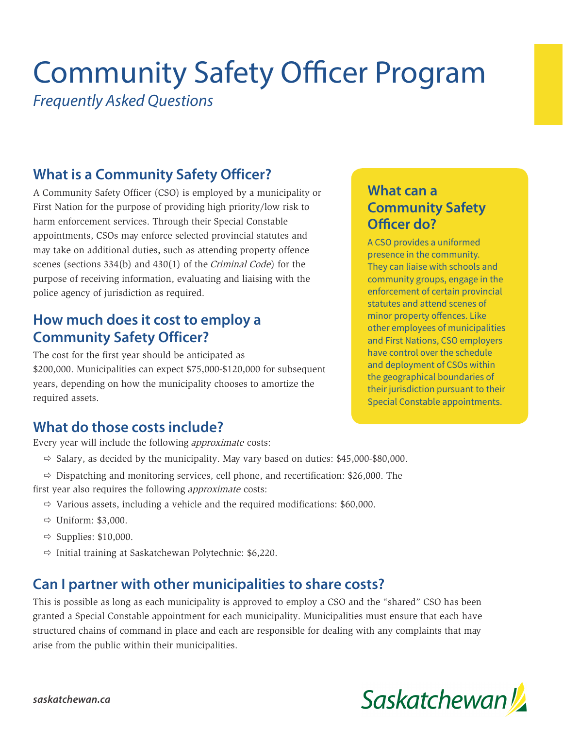# Community Safety Officer Program

*Frequently Asked Questions*

# **What is a Community Safety Officer?**

A Community Safety Officer (CSO) is employed by a municipality or First Nation for the purpose of providing high priority/low risk to harm enforcement services. Through their Special Constable appointments, CSOs may enforce selected provincial statutes and may take on additional duties, such as attending property offence scenes (sections 334(b) and 430(1) of the Criminal Code) for the purpose of receiving information, evaluating and liaising with the police agency of jurisdiction as required.

## **How much does it cost to employ a Community Safety Officer?**

The cost for the first year should be anticipated as \$200,000. Municipalities can expect \$75,000-\$120,000 for subsequent years, depending on how the municipality chooses to amortize the required assets.

## **What do those costs include?**

Every year will include the following approximate costs:

- $\Rightarrow$  Salary, as decided by the municipality. May vary based on duties: \$45,000-\$80,000.
- $\Rightarrow$  Dispatching and monitoring services, cell phone, and recertification: \$26,000. The first year also requires the following approximate costs:
	- $\Rightarrow$  Various assets, including a vehicle and the required modifications: \$60,000.
	- $\Rightarrow$  Uniform: \$3,000.
	- $\Rightarrow$  Supplies: \$10,000.
	- $\Rightarrow$  Initial training at Saskatchewan Polytechnic: \$6,220.

#### **Can I partner with other municipalities to share costs?**

This is possible as long as each municipality is approved to employ a CSO and the "shared" CSO has been granted a Special Constable appointment for each municipality. Municipalities must ensure that each have structured chains of command in place and each are responsible for dealing with any complaints that may arise from the public within their municipalities.

#### **What can a Community Safety Officer do?**

A CSO provides a uniformed presence in the community. They can liaise with schools and community groups, engage in the enforcement of certain provincial statutes and attend scenes of minor property offences. Like other employees of municipalities and First Nations, CSO employers have control over the schedule and deployment of CSOs within the geographical boundaries of their jurisdiction pursuant to their Special Constable appointments.